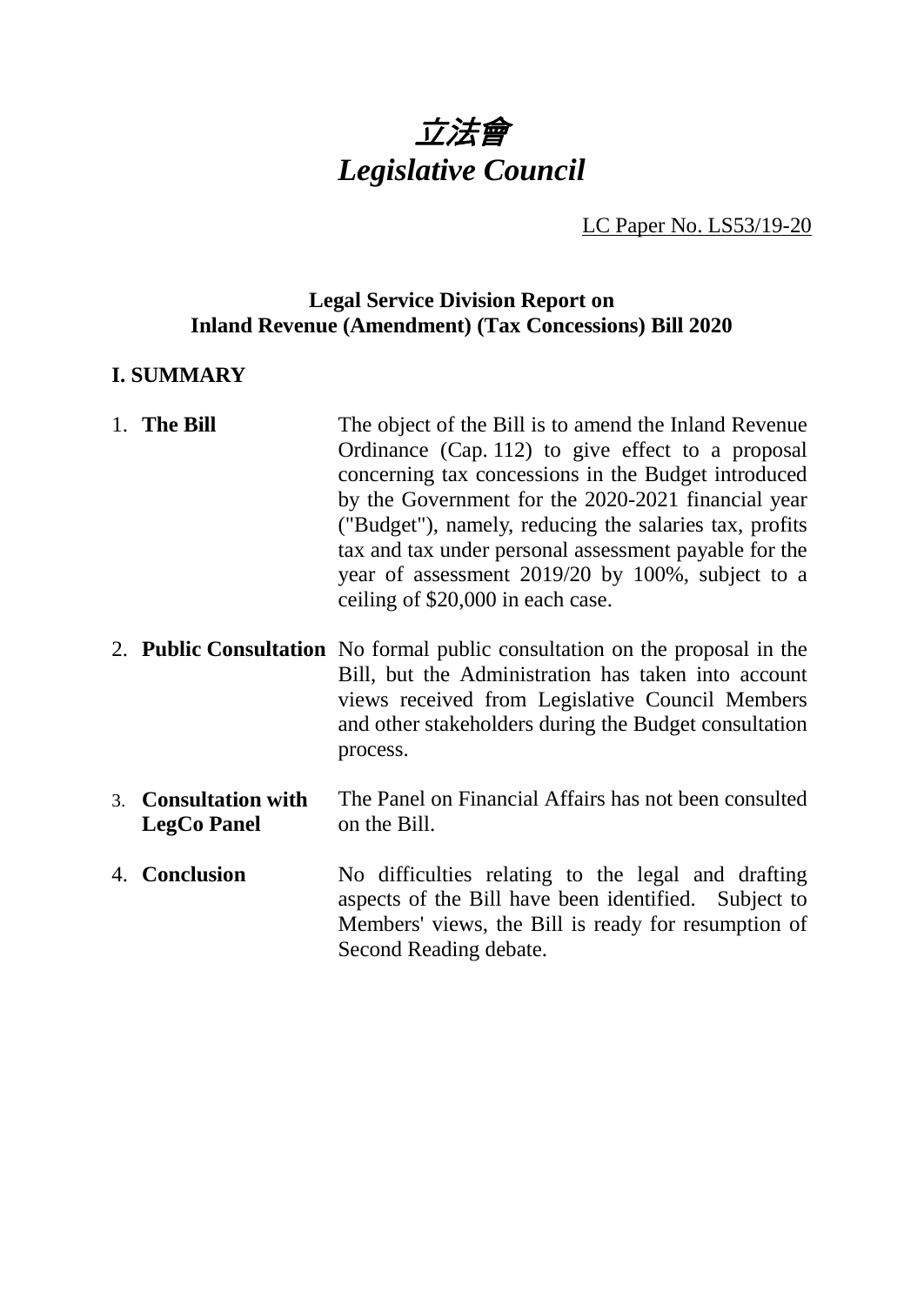

LC Paper No. LS53/19-20

# **Legal Service Division Report on Inland Revenue (Amendment) (Tax Concessions) Bill 2020**

### **I. SUMMARY**

| 1. The Bill | The object of the Bill is to amend the Inland Revenue  |
|-------------|--------------------------------------------------------|
|             | Ordinance (Cap. 112) to give effect to a proposal      |
|             | concerning tax concessions in the Budget introduced    |
|             | by the Government for the 2020-2021 financial year     |
|             | ("Budget"), namely, reducing the salaries tax, profits |
|             | tax and tax under personal assessment payable for the  |
|             | year of assessment 2019/20 by 100%, subject to a       |
|             | ceiling of \$20,000 in each case.                      |
|             |                                                        |

- 2. **Public Consultation** No formal public consultation on the proposal in the Bill, but the Administration has taken into account views received from Legislative Council Members and other stakeholders during the Budget consultation process.
- 3. **Consultation with LegCo Panel** The Panel on Financial Affairs has not been consulted on the Bill.
- 4. **Conclusion** No difficulties relating to the legal and drafting aspects of the Bill have been identified. Subject to Members' views, the Bill is ready for resumption of Second Reading debate.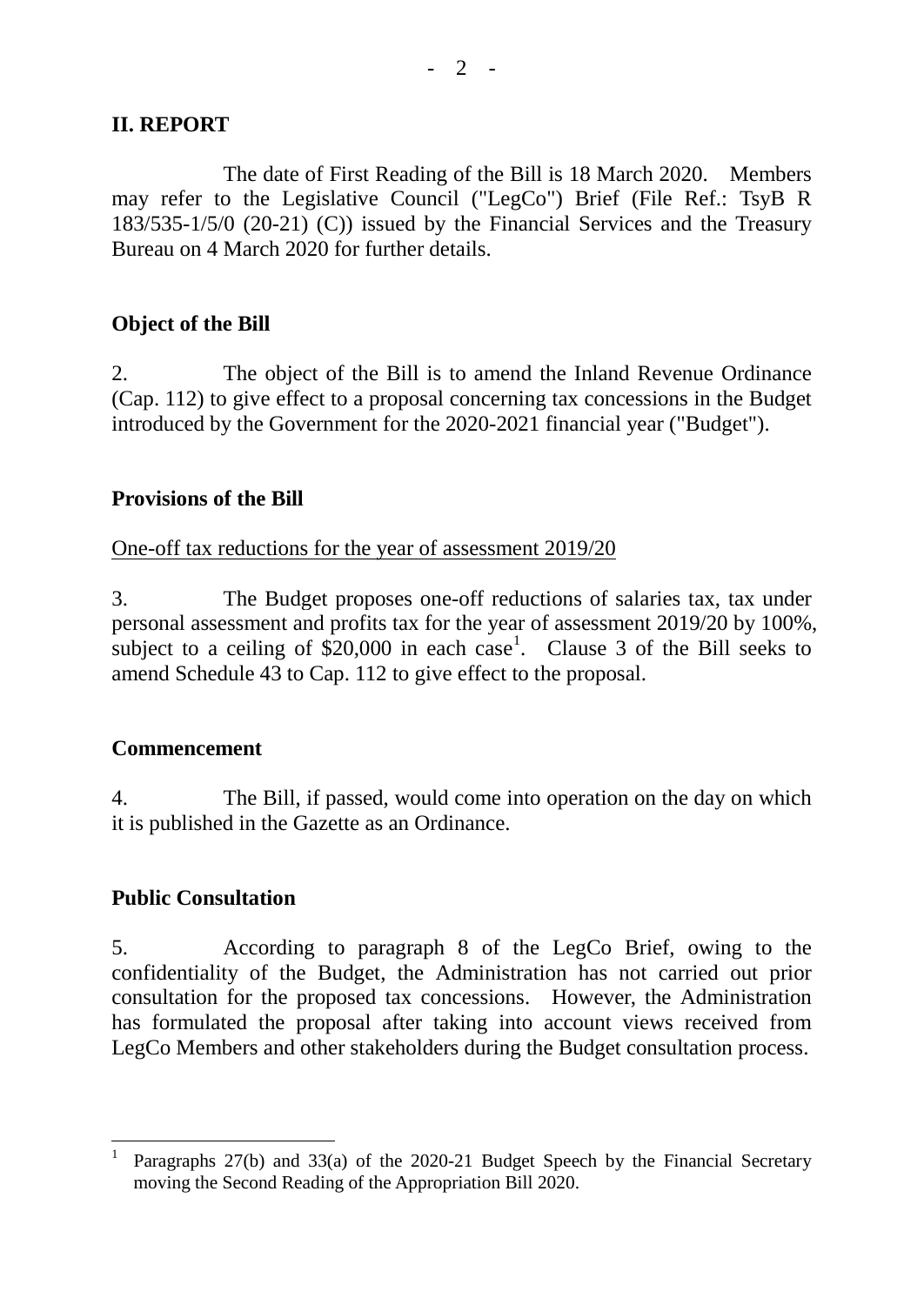# **II. REPORT**

The date of First Reading of the Bill is 18 March 2020. Members may refer to the Legislative Council ("LegCo") Brief (File Ref.: TsyB R 183/535-1/5/0 (20-21) (C)) issued by the Financial Services and the Treasury Bureau on 4 March 2020 for further details.

#### **Object of the Bill**

2. The object of the Bill is to amend the Inland Revenue Ordinance (Cap. 112) to give effect to a proposal concerning tax concessions in the Budget introduced by the Government for the 2020-2021 financial year ("Budget").

#### **Provisions of the Bill**

One-off tax reductions for the year of assessment 2019/20

3. The Budget proposes one-off reductions of salaries tax, tax under personal assessment and profits tax for the year of assessment 2019/20 by 100%, subject to a ceiling of  $$20,000$  in each case<sup>[1](#page-1-0)</sup>. Clause 3 of the Bill seeks to amend Schedule 43 to Cap. 112 to give effect to the proposal.

#### **Commencement**

4. The Bill, if passed, would come into operation on the day on which it is published in the Gazette as an Ordinance.

# **Public Consultation**

5. According to paragraph 8 of the LegCo Brief, owing to the confidentiality of the Budget, the Administration has not carried out prior consultation for the proposed tax concessions. However, the Administration has formulated the proposal after taking into account views received from LegCo Members and other stakeholders during the Budget consultation process.

<span id="page-1-0"></span>Paragraphs 27(b) and 33(a) of the 2020-21 Budget Speech by the Financial Secretary moving the Second Reading of the Appropriation Bill 2020.